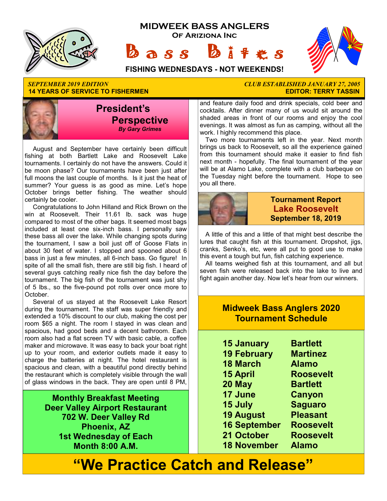





**FISHING WEDNESDAYS - NOT WEEKENDS!**

#### *SEPTEMBER 2019 EDITION CLUB ESTABLISHED JANUARY 27, 2005*  **14 YEARS OF SERVICE TO FISHERMEN**



August and September have certainly been difficult fishing at both Bartlett Lake and Roosevelt Lake tournaments. I certainly do not have the answers. Could it be moon phase? Our tournaments have been just after full moons the last couple of months. Is it just the heat of summer? Your guess is as good as mine. Let's hope October brings better fishing. The weather should certainly be cooler.

Congratulations to John Hilland and Rick Brown on the win at Roosevelt. Their 11.61 lb. sack was huge compared to most of the other bags. It seemed most bags included at least one six-inch bass. I personally saw these bass all over the lake. While changing spots during the tournament, I saw a boil just off of Goose Flats in about 30 feet of water. I stopped and spooned about 6 bass in just a few minutes, all 6-inch bass. Go figure! In spite of all the small fish, there are still big fish. I heard of several guys catching really nice fish the day before the tournament. The big fish of the tournament was just shy of 5 lbs., so the five-pound pot rolls over once more to October.

Several of us stayed at the Roosevelt Lake Resort during the tournament. The staff was super friendly and extended a 10% discount to our club, making the cost per room \$65 a night. The room I stayed in was clean and spacious, had good beds and a decent bathroom. Each room also had a flat screen TV with basic cable, a coffee maker and microwave. It was easy to back your boat right up to your room, and exterior outlets made it easy to charge the batteries at night. The hotel restaurant is spacious and clean, with a beautiful pond directly behind the restaurant which is completely visible through the wall of glass windows in the back. They are open until 8 PM,

> **Monthly Breakfast Meeting Deer Valley Airport Restaurant 702 W. Deer Valley Rd Phoenix, AZ 1st Wednesday of Each Month 8:00 A.M.**

and feature daily food and drink specials, cold beer and cocktails. After dinner many of us would sit around the shaded areas in front of our rooms and enjoy the cool evenings. It was almost as fun as camping, without all the work. I highly recommend this place.

Two more tournaments left in the year. Next month brings us back to Roosevelt, so all the experience gained from this tournament should make it easier to find fish next month - hopefully. The final tournament of the year will be at Alamo Lake, complete with a club barbeque on the Tuesday night before the tournament. Hope to see you all there.



### **Tournament Report Lake Roosevelt September 18, 2019**

A little of this and a little of that might best describe the lures that caught fish at this tournament. Dropshot, jigs, cranks, Senko's, etc, were all put to good use to make this event a tough but fun, fish catching experience.

All teams weighed fish at this tournament, and all but seven fish were released back into the lake to live and fight again another day. Now let's hear from our winners.

### **Midweek Bass Anglers 2020 Tournament Schedule**

| <b>15 January</b>   | <b>Bartlett</b>  |
|---------------------|------------------|
| <b>19 February</b>  | <b>Martinez</b>  |
| <b>18 March</b>     | <b>Alamo</b>     |
| <b>15 April</b>     | <b>Roosevelt</b> |
| 20 May              | <b>Bartlett</b>  |
| 17 June             | <b>Canyon</b>    |
| 15 July             | <b>Saguaro</b>   |
| <b>19 August</b>    | <b>Pleasant</b>  |
| <b>16 September</b> | <b>Roosevelt</b> |
| 21 October          | <b>Roosevelt</b> |
| <b>18 November</b>  | Alamo            |

# **"We Practice Catch and Release"**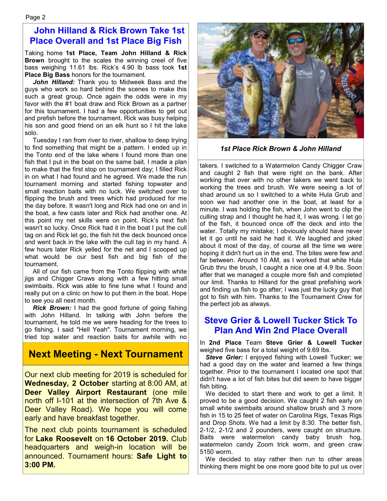### **John Hilland & Rick Brown Take 1st Place Overall and 1st Place Big Fish**

Taking home **1st Place, Team John Hilland & Rick Brown** brought to the scales the winning creel of five bass weighing 11.61 lbs. Rick's 4.90 lb bass took **1st Place Big Bass** honors for the tournament.

*John Hilland:* Thank you to Midweek Bass and the guys who work so hard behind the scenes to make this such a great group. Once again the odds were in my favor with the #1 boat draw and Rick Brown as a partner for this tournament. I had a few opportunities to get out and prefish before the tournament. Rick was busy helping his son and good friend on an elk hunt so I hit the lake solo.

Tuesday I ran from river to river, shallow to deep trying to find something that might be a pattern. I ended up in the Tonto end of the lake where I found more than one fish that I put in the boat on the same bait. I made a plan to make that the first stop on tournament day; I filled Rick in on what I had found and he agreed. We made the run tournament morning and started fishing topwater and small reaction baits with no luck. We switched over to flipping the brush and trees which had produced for me the day before. It wasn't long and Rick had one on and in the boat, a few casts later and Rick had another one. At this point my net skills were on point. Rick's next fish wasn't so lucky. Once Rick had it in the boat I put the cull tag on and Rick let go, the fish hit the deck bounced once and went back in the lake with the cull tag in my hand. A few hours later Rick yelled for the net and I scooped up what would be our best fish and big fish of the tournament.

All of our fish came from the Tonto flipping with white jigs and Chigger Craws along with a few hitting small swimbaits. Rick was able to fine tune what I found and really put on a clinic on how to put them in the boat. Hope to see you all next month.

*Rick Brown:* I had the good fortune of going fishing with John Hilland. In talking with John before the tournament, he told me we were heading for the trees to go fishing. I said "Hell Yeah". Tournament morning, we tried top water and reaction baits for awhile with no

### **Next Meeting - Next Tournament**

Our next club meeting for 2019 is scheduled for **Wednesday, 2 October** starting at 8:00 AM, at **Deer Valley Airport Restaurant** (one mile north off I-101 at the intersection of 7th Ave & Deer Valley Road). We hope you will come early and have breakfast together.

The next club points tournament is scheduled for **Lake Roosevelt** on **16 October 2019.** Club headquarters and weigh-in location will be announced. Tournament hours: **Safe Light to 3:00 PM.**



*1st Place Rick Brown & John Hilland* 

takers. I switched to a Watermelon Candy Chigger Craw and caught 2 fish that were right on the bank. After working that over with no other takers we went back to working the trees and brush. We were seeing a lot of shad around us so I switched to a white Hula Grub and soon we had another one in the boat, at least for a minute. I was holding the fish, when John went to clip the culling strap and I thought he had it, I was wrong. I let go of the fish, it bounced once off the deck and into the water. Totally my mistake; I obviously should have never let it go until he said he had it. We laughed and joked about it most of the day, of course all the time we were hoping it didn't hurt us in the end. The bites were few and far between. Around 10 AM, as I worked that white Hula Grub thru the brush, I caught a nice one at 4.9 lbs. Soon after that we managed a couple more fish and completed our limit. Thanks to Hilland for the great prefishing work and finding us fish to go after; I was just the lucky guy that got to fish with him. Thanks to the Tournament Crew for the perfect job as always.

### **Steve Grier & Lowell Tucker Stick To Plan And Win 2nd Place Overall**

In **2nd Place** Team **Steve Grier & Lowell Tucker** weighed five bass for a total weight of 9.69 lbs.

**Steve Grier:** I enjoyed fishing with Lowell Tucker; we had a good day on the water and learned a few things together. Prior to the tournament I located one spot that didn't have a lot of fish bites but did seem to have bigger fish biting.

We decided to start there and work to get a limit. It proved to be a good decision. We caught 2 fish early on small white swimbaits around shallow brush and 3 more fish in 15 to 25 feet of water on Carolina Rigs, Texas Rigs and Drop Shots. We had a limit by 8:30. The better fish, 2-1/2, 2-1/2 and 2 pounders, were caught on structure. Baits were watermelon candy baby brush hog, watermelon candy Zoom trick worm, and green craw 5150 worm.

We decided to stay rather then run to other areas thinking there might be one more good bite to put us over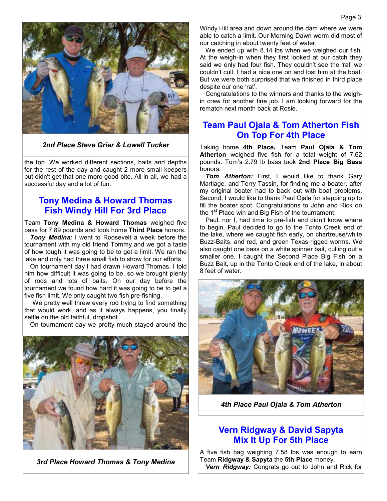

#### *2nd Place Steve Grier & Lowell Tucker*

the top. We worked different sections, baits and depths for the rest of the day and caught 2 more small keepers but didn't get that one more good bite. All in all, we had a successful day and a lot of fun.

#### **Tony Medina & Howard Thomas Fish Windy Hill For 3rd Place**

Team **Tony Medina & Howard Thomas** weighed five bass for 7.89 pounds and took home **Third Place** honors.

*Tony Medina:* I went to Roosevelt a week before the tournament with my old friend Tommy and we got a taste of how tough it was going to be to get a limit. We ran the lake and only had three small fish to show for our efforts.

On tournament day I had drawn Howard Thomas. I told him how difficult it was going to be, so we brought plenty of rods and lots of baits. On our day before the tournament we found how hard it was going to be to get a five fish limit. We only caught two fish pre-fishing.

We pretty well threw every rod trying to find something that would work, and as it always happens, you finally settle on the old faithful, dropshot.

On tournament day we pretty much stayed around the



*3rd Place Howard Thomas & Tony Medina*

Windy Hill area and down around the dam where we were able to catch a limit. Our Morning Dawn worm did most of our catching in about twenty feet of water.

We ended up with 8.14 lbs when we weighed our fish. At the weigh-in when they first looked at our catch they said we only had four fish. They couldn't see the 'rat' we couldn't cull. I had a nice one on and lost him at the boat. But we were both surprised that we finished in third place despite our one 'rat'.

Congratulations to the winners and thanks to the weighin crew for another fine job. I am looking forward for the rematch next month back at Rosie.

### **Team Paul Ojala & Tom Atherton Fish On Top For 4th Place**

Taking home **4th Place,** Team **Paul Ojala & Tom Atherton** weighed five fish for a total weight of 7.62 pounds. Tom's 2.79 lb bass took **2nd Place Big Bass**  honors.

**Tom Atherton:** First, I would like to thank Gary Martlage, and Terry Tassin, for finding me a boater, after my original boater had to back out with boat problems. Second, I would like to thank Paul Ojala for stepping up to fill the boater spot. Congratulations to John and Rick on the  $1<sup>st</sup>$  Place win and Big Fish of the tournament.

Paul, nor I, had time to pre-fish and didn't know where to begin. Paul decided to go to the Tonto Creek end of the lake, where we caught fish early, on chartreuse/white Buzz-Baits, and red, and green Texas rigged worms. We also caught one bass on a white spinner bait, culling out a smaller one. I caught the Second Place Big Fish on a Buzz Bait, up in the Tonto Creek end of the lake, in about 8 feet of water.



*4th Place Paul Ojala & Tom Atherton* 

### **Vern Ridgway & David Sapyta Mix It Up For 5th Place**

A five fish bag weighing 7.58 lbs was enough to earn Team **Ridgway & Sapyta** the **5th Place** money. *Vern Ridgway:* Congrats go out to John and Rick for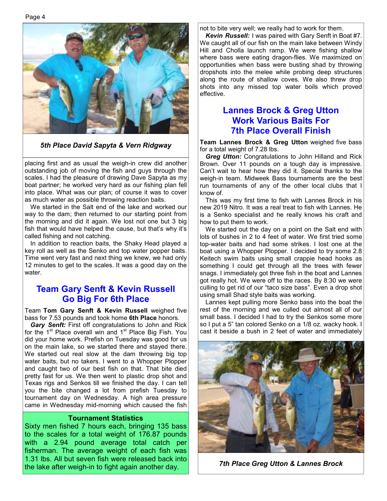Page 4



*5th Place David Sapyta & Vern Ridgway* 

placing first and as usual the weigh-in crew did another outstanding job of moving the fish and guys through the scales. I had the pleasure of drawing Dave Sapyta as my boat partner; he worked very hard as our fishing plan fell into place. What was our plan; of course it was to cover as much water as possible throwing reaction baits.

We started in the Salt end of the lake and worked our way to the dam; then returned to our starting point from the morning and did it again. We lost not one but 3 big fish that would have helped the cause, but that's why it's called fishing and not catching.

In addition to reaction baits, the Shaky Head played a key roll as well as the Senko and top water popper baits. Time went very fast and next thing we knew, we had only 12 minutes to get to the scales. It was a good day on the water.

### **Team Gary Senft & Kevin Russell Go Big For 6th Place**

Team **Tom Gary Senft & Kevin Russell** weighed five bass for 7.53 pounds and took home **6th Place** honors.

*Gary Senft:* First off congratulations to John and Rick for the 1<sup>st</sup> Place overall win and 1<sup>st</sup> Place Big Fish. You did your home work. Prefish on Tuesday was good for us on the main lake, so we started there and stayed there. We started out real slow at the dam throwing big top water baits, but no takers. I went to a Whopper Plopper and caught two of our best fish on that. That bite died pretty fast for us. We then went to plastic drop shot and Texas rigs and Senkos till we finished the day. I can tell you the bite changed a lot from prefish Tuesday to tournament day on Wednesday. A high area pressure came in Wednesday mid-morning which caused the fish

#### **Tournament Statistics**

Sixty men fished 7 hours each, bringing 135 bass to the scales for a total weight of 176.87 pounds with a 2.94 pound average total catch per fisherman. The average weight of each fish was 1.31 lbs. All but seven fish were released back into the lake after weigh-in to fight again another day. *7th Place Greg Utton & Lannes Brock*

not to bite very well; we really had to work for them.

*Kevin Russell:* I was paired with Gary Senft in Boat #7. We caught all of our fish on the main lake between Windy Hill and Cholla launch ramp. We were fishing shallow where bass were eating dragon-flies. We maximized on opportunities when bass were busting shad by throwing dropshots into the melee while probing deep structures along the route of shallow coves. We also threw drop shots into any missed top water boils which proved effective.

### **Lannes Brock & Greg Utton Work Various Baits For 7th Place Overall Finish**

**Team Lannes Brock & Greg Utton** weighed five bass for a total weight of 7.28 lbs.

*Greg Utton:* Congratulations to John Hilland and Rick Brown. Over 11 pounds on a tough day is impressive. Can't wait to hear how they did it. Special thanks to the weigh-in team. Midweek Bass tournaments are the best run tournaments of any of the other local clubs that I know of.

This was my first time to fish with Lannes Brock in his new 2019 Nitro. It was a real treat to fish with Lannes. He is a Senko specialist and he really knows his craft and how to put them to work.

We started out the day on a point on the Salt end with lots of bushes in 2 to 4 feet of water. We first tried some top-water baits and had some strikes. I lost one at the boat using a Whopper Plopper. I decided to try some 2.8 Keitech swim baits using small crappie head hooks as something I could get through all the trees with fewer snags. I immediately got three fish in the boat and Lannes got really hot. We were off to the races. By 8:30 we were culling to get rid of our "taco size bass". Even a drop shot using small Shad style baits was working.

Lannes kept pulling more Senko bass into the boat the rest of the morning and we culled out almost all of our small bass. I decided I had to try the Senkos some more so I put a 5" tan colored Senko on a 1/8 oz. wacky hook. I cast it beside a bush in 2 feet of water and immediately

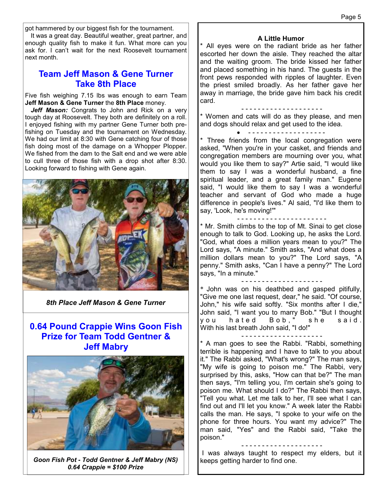got hammered by our biggest fish for the tournament.

It was a great day. Beautiful weather, great partner, and enough quality fish to make it fun. What more can you ask for. I can't wait for the next Roosevelt tournament next month.

### **Team Jeff Mason & Gene Turner Take 8th Place**

Five fish weighing 7.15 lbs was enough to earn Team **Jeff Mason & Gene Turner** the **8th Place** money.

Jeff Mason: Congrats to John and Rick on a very tough day at Roosevelt. They both are definitely on a roll. I enjoyed fishing with my partner Gene Turner both prefishing on Tuesday and the tournament on Wednesday. We had our limit at 8:30 with Gene catching four of those fish doing most of the damage on a Whopper Plopper. We fished from the dam to the Salt end and we were able to cull three of those fish with a drop shot after 8:30. Looking forward to fishing with Gene again.



*8th Place Jeff Mason & Gene Turner* 

### **0.64 Pound Crappie Wins Goon Fish Prize for Team Todd Gentner & Jeff Mabry**



*Goon Fish Pot - Todd Gentner & Jeff Mabry (NS) 0.64 Crappie = \$100 Prize* 

#### **A Little Humor**

\* All eyes were on the radiant bride as her father escorted her down the aisle. They reached the altar and the waiting groom. The bride kissed her father and placed something in his hand. The guests in the front pews responded with ripples of laughter. Even the priest smiled broadly. As her father gave her away in marriage, the bride gave him back his credit card.

#### - - - - - - - - - - - - - - - - - - - -

\* Women and cats will do as they please, and men and dogs should relax and get used to the idea.

#### - - - - - - - - - - - - - - - - - - -

Three friends from the local congregation were asked, "When you're in your casket, and friends and congregation members are mourning over you, what would you like them to say?" Artie said, "I would like them to say I was a wonderful husband, a fine spiritual leader, and a great family man." Eugene said, "I would like them to say I was a wonderful teacher and servant of God who made a huge difference in people's lives." Al said, "I'd like them to say, 'Look, he's moving!'"

- - - - - - - - - - - - - - - - - - - - - -

\* Mr. Smith climbs to the top of Mt. Sinai to get close enough to talk to God. Looking up, he asks the Lord. "God, what does a million years mean to you?" The Lord says, "A minute." Smith asks, "And what does a million dollars mean to you?" The Lord says, "A penny." Smith asks, "Can I have a penny?" The Lord says, "In a minute."

- - - - - - - - - - - - - - - - - - - -

\* John was on his deathbed and gasped pitifully, "Give me one last request, dear," he said. "Of course, John," his wife said softly. "Six months after I die," John said, "I want you to marry Bob." "But I thought you hated Bob," she said. With his last breath John said, "I do!"

#### - - - - - - - - - - - - - - - - - - - -

\* A man goes to see the Rabbi. "Rabbi, something terrible is happening and I have to talk to you about it." The Rabbi asked, "What's wrong?" The man says, "My wife is going to poison me." The Rabbi, very surprised by this, asks, "How can that be?" The man then says, "I'm telling you, I'm certain she's going to poison me. What should I do?" The Rabbi then says, "Tell you what. Let me talk to her, I'll see what I can find out and I'll let you know." A week later the Rabbi calls the man. He says, "I spoke to your wife on the phone for three hours. You want my advice?" The man said, "Yes" and the Rabbi said, "Take the poison."

- - - - - - - - - - - - - - - - - - - -

 I was always taught to respect my elders, but it keeps getting harder to find one.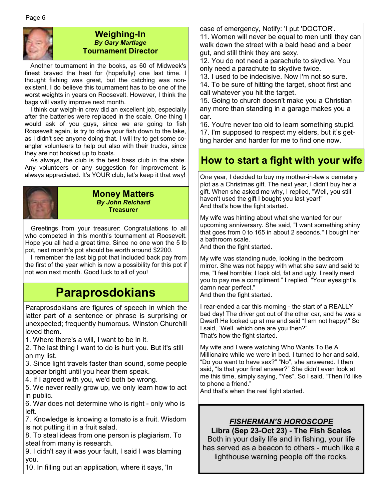

#### **Weighing-In**  *By Gary Martlage*  **Tournament Director**

Another tournament in the books, as 60 of Midweek's finest braved the heat for (hopefully) one last time. I thought fishing was great, but the catching was nonexistent. I do believe this tournament has to be one of the worst weights in years on Roosevelt. However, I think the bags will vastly improve next month.

I think our weigh-in crew did an excellent job, especially after the batteries were replaced in the scale. One thing I would ask of you guys, since we are going to fish Roosevelt again, is try to drive your fish down to the lake, as I didn't see anyone doing that. I will try to get some coangler volunteers to help out also with their trucks, since they are not hooked up to boats.

As always, the club is the best bass club in the state. Any volunteers or any suggestion for improvement is always appreciated. It's YOUR club, let's keep it that way!

#### **Money Matters**  *By John Reichard*  **Treasurer**

Greetings from your treasurer: Congratulations to all who competed in this month's tournament at Roosevelt. Hope you all had a great time. Since no one won the 5 lb pot, next month's pot should be worth around \$2200.

I remember the last big pot that included back pay from the first of the year which is now a possibility for this pot if not won next month. Good luck to all of you!

## **Paraprosdokians**

Paraprosdokians are figures of speech in which the latter part of a sentence or phrase is surprising or unexpected; frequently humorous. Winston Churchill loved them.

1. Where there's a will, I want to be in it.

2. The last thing I want to do is hurt you. But it's still on my list.

3. Since light travels faster than sound, some people appear bright until you hear them speak.

4. If I agreed with you, we'd both be wrong.

5. We never really grow up, we only learn how to act in public.

6. War does not determine who is right - only who is left.

7. Knowledge is knowing a tomato is a fruit. Wisdom is not putting it in a fruit salad.

8. To steal ideas from one person is plagiarism. To steal from many is research.

9. I didn't say it was your fault, I said I was blaming you.

10. In filling out an application, where it says, 'In

case of emergency, Notify: 'I put 'DOCTOR'.

11. Women will never be equal to men until they can walk down the street with a bald head and a beer gut, and still think they are sexy.

12. You do not need a parachute to skydive. You only need a parachute to skydive twice.

13. I used to be indecisive. Now I'm not so sure. 14. To be sure of hitting the target, shoot first and

call whatever you hit the target.

15. Going to church doesn't make you a Christian any more than standing in a garage makes you a car.

16. You're never too old to learn something stupid. 17. I'm supposed to respect my elders, but it's getting harder and harder for me to find one now.

## **How to start a fight with your wife**

One year, I decided to buy my mother-in-law a cemetery plot as a Christmas gift. The next year, I didn't buy her a gift. When she asked me why, I replied, "Well, you still haven't used the gift I bought you last year!" And that's how the fight started.

My wife was hinting about what she wanted for our upcoming anniversary. She said, "I want something shiny that goes from 0 to 165 in about 2 seconds." I bought her a bathroom scale.

And then the fight started.

My wife was standing nude, looking in the bedroom mirror. She was not happy with what she saw and said to me, "I feel horrible; I look old, fat and ugly. I really need you to pay me a compliment." I replied, "Your eyesight's damn near perfect."

And then the fight started.

I rear-ended a car this morning - the start of a REALLY bad day! The driver got out of the other car, and he was a Dwarf! He looked up at me and said "I am not happy!" So I said, "Well, which one are you then?" That's how the fight started.

My wife and I were watching Who Wants To Be A Millionaire while we were in bed. I turned to her and said, "Do you want to have sex?" "No", she answered. I then said, "Is that your final answer?" She didn't even look at me this time, simply saying, "Yes". So I said, "Then I'd like to phone a friend."

And that's when the real fight started.

#### *FISHERMAN'S HOROSCOPE* **Libra (Sep 23-Oct 23) - The Fish Scales**

Both in your daily life and in fishing, your life has served as a beacon to others - much like a lighthouse warning people off the rocks.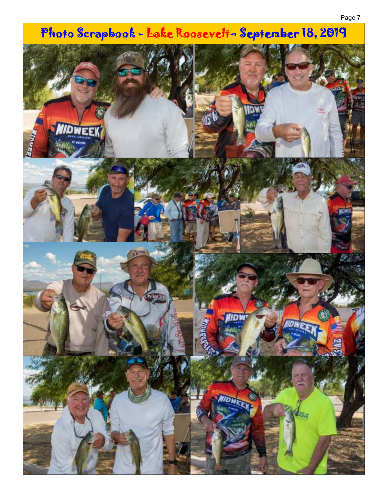